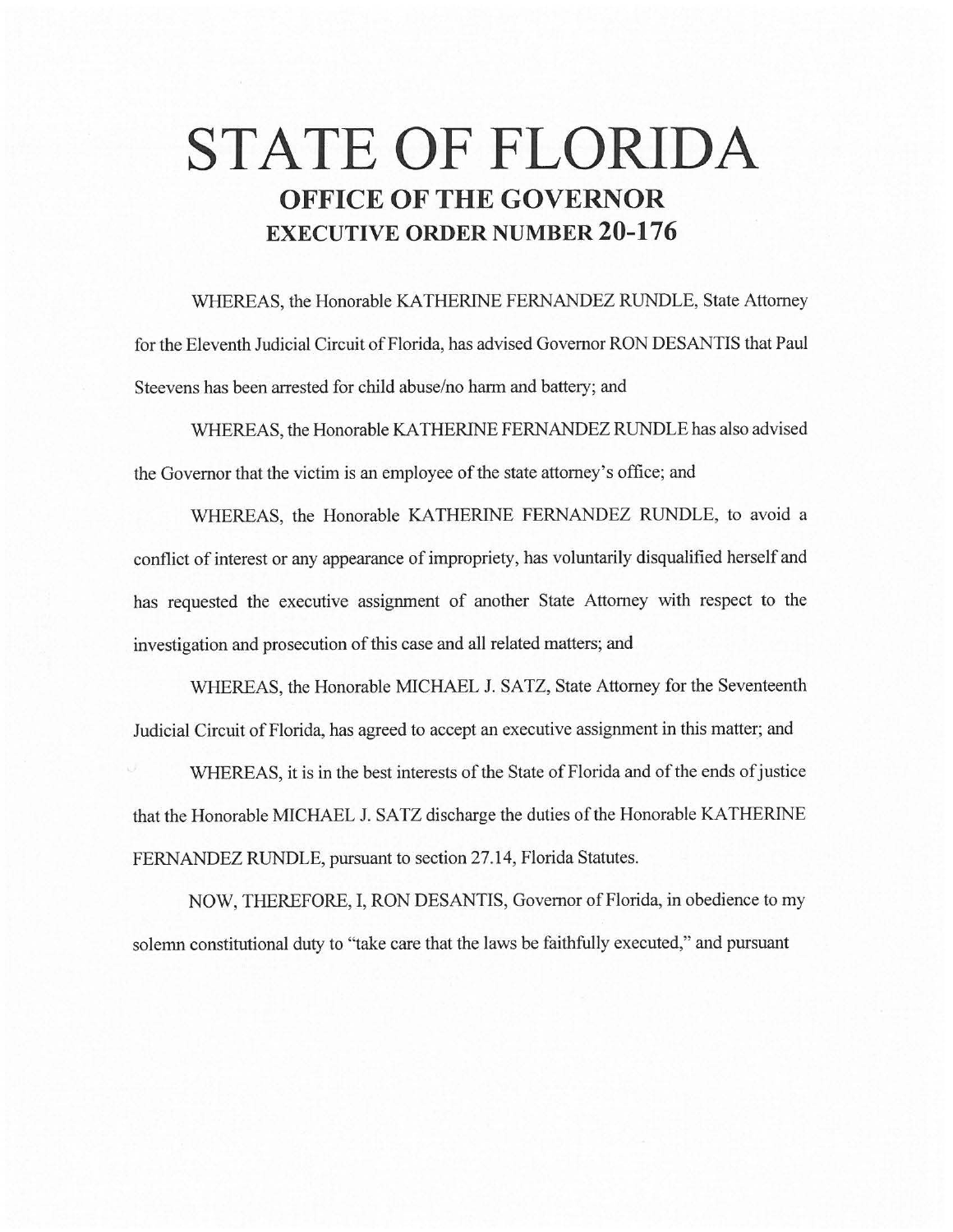# **STATE OF FLORIDA OFFICE OF THE GOVERNOR EXECUTIVE ORDER NUMBER 20-176**

WHEREAS, the Honorable KATHERINE FERNANDEZ RUNDLE, State Attorney for the Eleventh Judicial Circuit of Florida, has advised Governor RON DESANTIS that Paul Steevens has been arrested for child abuse/no harm and battery; and

WHEREAS, the Honorable KA THERINE FERNANDEZ RUNDLE has also advised the Governor that the victim is an employee of the state attorney's office; and

WHEREAS, the Honorable KATHERINE FERNANDEZ RUNDLE, to avoid a conflict of interest or any appearance of impropriety, has voluntarily disqualified herself and has requested the executive assignment of another State Attorney with respect to the investigation and prosecution of this case and all related matters; and

WHEREAS, the Honorable MICHAEL J. SATZ, State Attorney for the Seventeenth Judicial Circuit of Florida, has agreed to accept an executive assignment in this matter; and

WHEREAS, it is in the best interests of the State of Florida and of the ends of justice that the Honorable MICHAEL J. SATZ discharge the duties of the Honorable KA THERINE FERNANDEZ RUNDLE, pursuant to section 27.14, Florida Statutes.

NOW, THEREFORE, I, RON DESANTIS, Governor of Florida, in obedience to my solemn constitutional duty to "take care that the laws be faithfully executed," and pursuant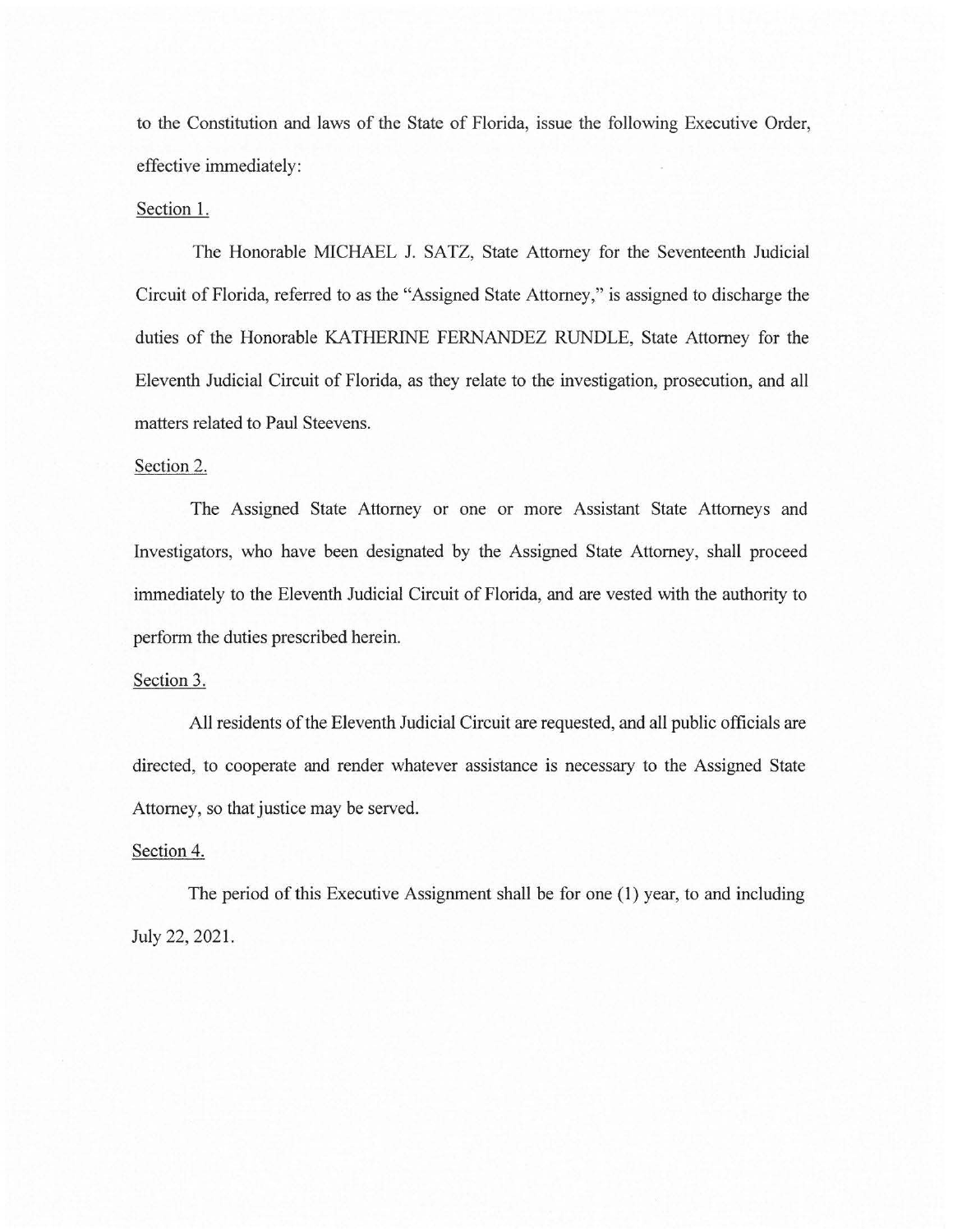to the Constitution and laws of the State of Florida, issue the following Executive Order, effective immediately:

#### Section 1.

The Honorable MICHAEL J. SATZ, State Attorney for the Seventeenth Judicial Circuit of Florida, referred to as the "Assigned State Attorney," is assigned to discharge the duties of the Honorable KATHERINE FERNANDEZ RUNDLE, State Attorney for the Eleventh Judicial Circuit of Florida, as they relate to the investigation, prosecution, and all matters related to Paul Steevens.

## Section 2.

The Assigned State Attorney or one or more Assistant State Attorneys and Investigators, who have been designated by the Assigned State Attorney, shall proceed immediately to the Eleventh Judicial Circuit of Florida, and are vested with the authority to perform the duties prescribed herein.

## Section 3.

All residents of the Eleventh Judicial Circuit are requested, and all public officials are directed, to cooperate and render whatever assistance is necessary to the Assigned State Attorney, so that justice may be served.

## Section 4.

The period of this Executive Assignment shall be for one (1) year, to and including July 22, 2021.